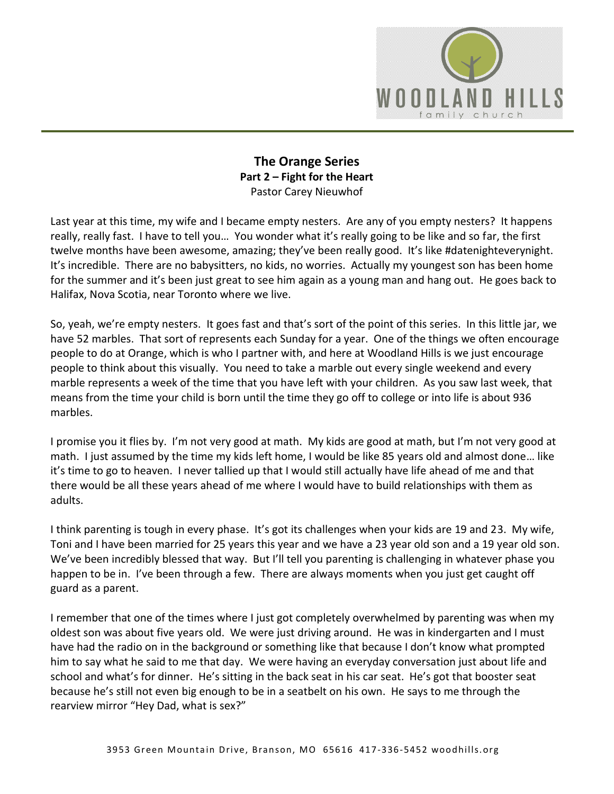

## **The Orange Series Part 2 – Fight for the Heart**  Pastor Carey Nieuwhof

Last year at this time, my wife and I became empty nesters. Are any of you empty nesters? It happens really, really fast. I have to tell you… You wonder what it's really going to be like and so far, the first twelve months have been awesome, amazing; they've been really good. It's like #datenighteverynight. It's incredible. There are no babysitters, no kids, no worries. Actually my youngest son has been home for the summer and it's been just great to see him again as a young man and hang out. He goes back to Halifax, Nova Scotia, near Toronto where we live.

So, yeah, we're empty nesters. It goes fast and that's sort of the point of this series. In this little jar, we have 52 marbles. That sort of represents each Sunday for a year. One of the things we often encourage people to do at Orange, which is who I partner with, and here at Woodland Hills is we just encourage people to think about this visually. You need to take a marble out every single weekend and every marble represents a week of the time that you have left with your children. As you saw last week, that means from the time your child is born until the time they go off to college or into life is about 936 marbles.

I promise you it flies by. I'm not very good at math. My kids are good at math, but I'm not very good at math. I just assumed by the time my kids left home, I would be like 85 years old and almost done… like it's time to go to heaven. I never tallied up that I would still actually have life ahead of me and that there would be all these years ahead of me where I would have to build relationships with them as adults.

I think parenting is tough in every phase. It's got its challenges when your kids are 19 and 23. My wife, Toni and I have been married for 25 years this year and we have a 23 year old son and a 19 year old son. We've been incredibly blessed that way. But I'll tell you parenting is challenging in whatever phase you happen to be in. I've been through a few. There are always moments when you just get caught off guard as a parent.

I remember that one of the times where I just got completely overwhelmed by parenting was when my oldest son was about five years old. We were just driving around. He was in kindergarten and I must have had the radio on in the background or something like that because I don't know what prompted him to say what he said to me that day. We were having an everyday conversation just about life and school and what's for dinner. He's sitting in the back seat in his car seat. He's got that booster seat because he's still not even big enough to be in a seatbelt on his own. He says to me through the rearview mirror "Hey Dad, what is sex?"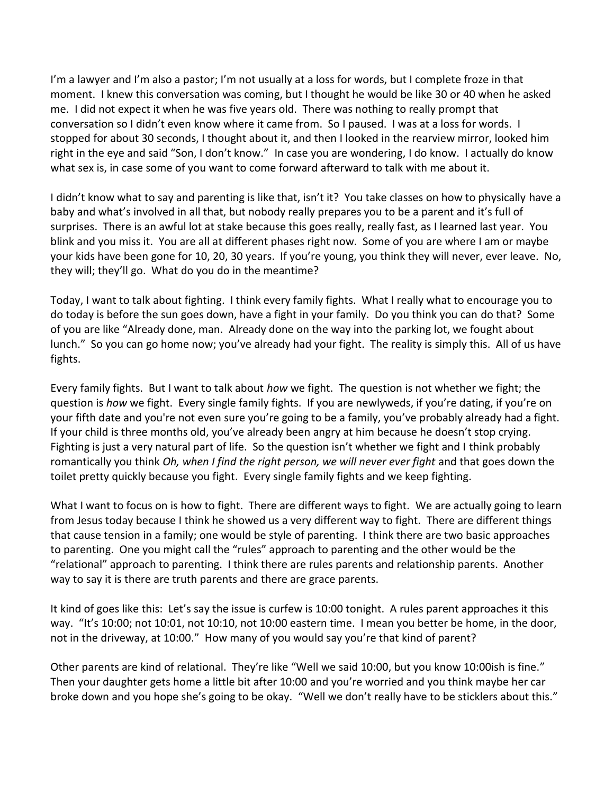I'm a lawyer and I'm also a pastor; I'm not usually at a loss for words, but I complete froze in that moment. I knew this conversation was coming, but I thought he would be like 30 or 40 when he asked me. I did not expect it when he was five years old. There was nothing to really prompt that conversation so I didn't even know where it came from. So I paused. I was at a loss for words. I stopped for about 30 seconds, I thought about it, and then I looked in the rearview mirror, looked him right in the eye and said "Son, I don't know." In case you are wondering, I do know. I actually do know what sex is, in case some of you want to come forward afterward to talk with me about it.

I didn't know what to say and parenting is like that, isn't it? You take classes on how to physically have a baby and what's involved in all that, but nobody really prepares you to be a parent and it's full of surprises. There is an awful lot at stake because this goes really, really fast, as I learned last year. You blink and you miss it. You are all at different phases right now. Some of you are where I am or maybe your kids have been gone for 10, 20, 30 years. If you're young, you think they will never, ever leave. No, they will; they'll go. What do you do in the meantime?

Today, I want to talk about fighting. I think every family fights. What I really what to encourage you to do today is before the sun goes down, have a fight in your family. Do you think you can do that? Some of you are like "Already done, man. Already done on the way into the parking lot, we fought about lunch." So you can go home now; you've already had your fight. The reality is simply this. All of us have fights.

Every family fights. But I want to talk about *how* we fight. The question is not whether we fight; the question is *how* we fight. Every single family fights. If you are newlyweds, if you're dating, if you're on your fifth date and you're not even sure you're going to be a family, you've probably already had a fight. If your child is three months old, you've already been angry at him because he doesn't stop crying. Fighting is just a very natural part of life. So the question isn't whether we fight and I think probably romantically you think *Oh, when I find the right person, we will never ever fight* and that goes down the toilet pretty quickly because you fight. Every single family fights and we keep fighting.

What I want to focus on is how to fight. There are different ways to fight. We are actually going to learn from Jesus today because I think he showed us a very different way to fight. There are different things that cause tension in a family; one would be style of parenting. I think there are two basic approaches to parenting. One you might call the "rules" approach to parenting and the other would be the "relational" approach to parenting. I think there are rules parents and relationship parents. Another way to say it is there are truth parents and there are grace parents.

It kind of goes like this: Let's say the issue is curfew is 10:00 tonight. A rules parent approaches it this way. "It's 10:00; not 10:01, not 10:10, not 10:00 eastern time. I mean you better be home, in the door, not in the driveway, at 10:00." How many of you would say you're that kind of parent?

Other parents are kind of relational. They're like "Well we said 10:00, but you know 10:00ish is fine." Then your daughter gets home a little bit after 10:00 and you're worried and you think maybe her car broke down and you hope she's going to be okay. "Well we don't really have to be sticklers about this."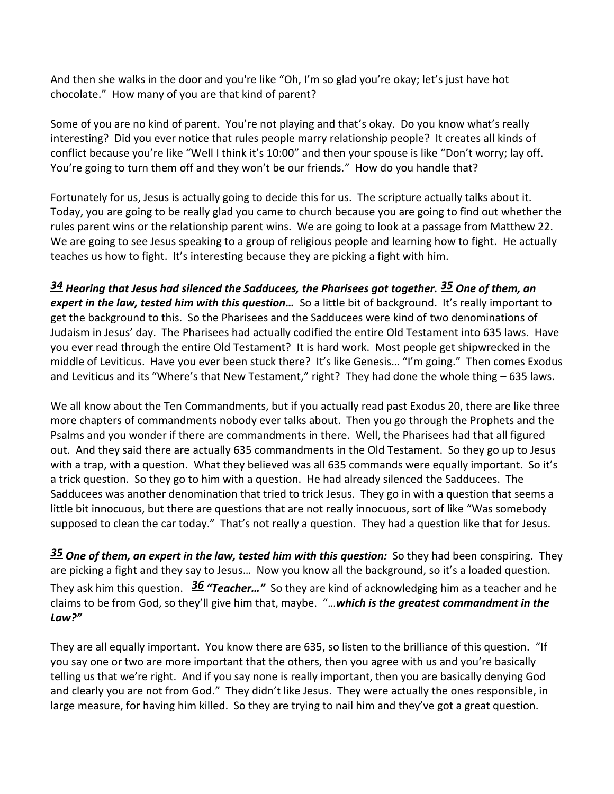And then she walks in the door and you're like "Oh, I'm so glad you're okay; let's just have hot chocolate." How many of you are that kind of parent?

Some of you are no kind of parent. You're not playing and that's okay. Do you know what's really interesting? Did you ever notice that rules people marry relationship people? It creates all kinds of conflict because you're like "Well I think it's 10:00" and then your spouse is like "Don't worry; lay off. You're going to turn them off and they won't be our friends." How do you handle that?

Fortunately for us, Jesus is actually going to decide this for us. The scripture actually talks about it. Today, you are going to be really glad you came to church because you are going to find out whether the rules parent wins or the relationship parent wins. We are going to look at a passage from Matthew 22. We are going to see Jesus speaking to a group of religious people and learning how to fight. He actually teaches us how to fight. It's interesting because they are picking a fight with him.

*[34](http://www.studylight.org/desk/?q=mt%2022:34&t1=en_niv&sr=1) Hearing that Jesus had silenced the Sadducees, the Pharisees got together. [35](http://www.studylight.org/desk/?q=mt%2022:35&t1=en_niv&sr=1) One of them, an expert in the law, tested him with this question…* So a little bit of background. It's really important to get the background to this. So the Pharisees and the Sadducees were kind of two denominations of Judaism in Jesus' day. The Pharisees had actually codified the entire Old Testament into 635 laws. Have you ever read through the entire Old Testament? It is hard work. Most people get shipwrecked in the middle of Leviticus. Have you ever been stuck there? It's like Genesis… "I'm going." Then comes Exodus and Leviticus and its "Where's that New Testament," right? They had done the whole thing - 635 laws.

We all know about the Ten Commandments, but if you actually read past Exodus 20, there are like three more chapters of commandments nobody ever talks about. Then you go through the Prophets and the Psalms and you wonder if there are commandments in there. Well, the Pharisees had that all figured out. And they said there are actually 635 commandments in the Old Testament. So they go up to Jesus with a trap, with a question. What they believed was all 635 commands were equally important. So it's a trick question. So they go to him with a question. He had already silenced the Sadducees. The Sadducees was another denomination that tried to trick Jesus. They go in with a question that seems a little bit innocuous, but there are questions that are not really innocuous, sort of like "Was somebody supposed to clean the car today." That's not really a question. They had a question like that for Jesus.

*[35](http://www.studylight.org/desk/?q=mt%2022:35&t1=en_niv&sr=1) One of them, an expert in the law, tested him with this question:* So they had been conspiring. They are picking a fight and they say to Jesus… Now you know all the background, so it's a loaded question. They ask him this question. *[36](http://www.studylight.org/desk/?q=mt%2022:36&t1=en_niv&sr=1) "Teacher…"* So they are kind of acknowledging him as a teacher and he claims to be from God, so they'll give him that, maybe. "…*which is the greatest commandment in the Law?"*

They are all equally important. You know there are 635, so listen to the brilliance of this question. "If you say one or two are more important that the others, then you agree with us and you're basically telling us that we're right. And if you say none is really important, then you are basically denying God and clearly you are not from God." They didn't like Jesus. They were actually the ones responsible, in large measure, for having him killed. So they are trying to nail him and they've got a great question.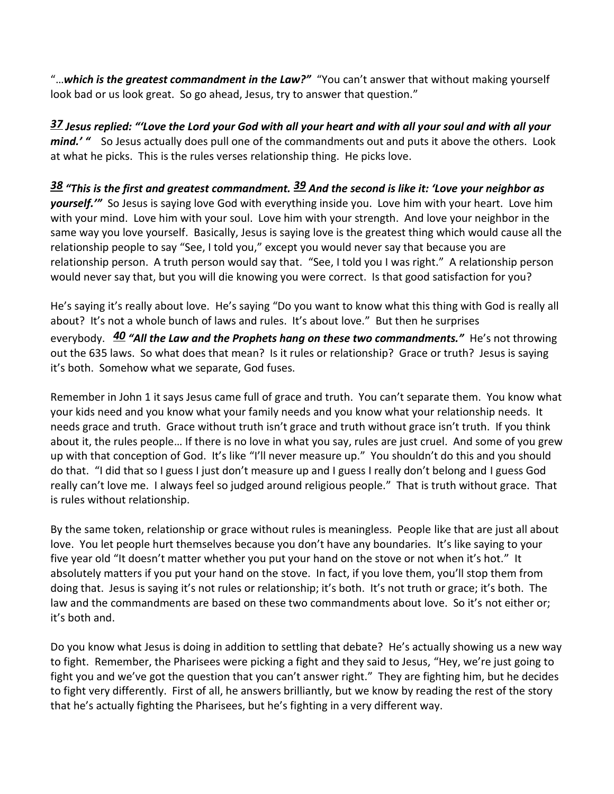"…*which is the greatest commandment in the Law?"* "You can't answer that without making yourself look bad or us look great. So go ahead, Jesus, try to answer that question."

*[37](http://www.studylight.org/desk/?q=mt%2022:37&t1=en_niv&sr=1) Jesus replied: "'Love the Lord your God with all your heart and with all your soul and with all your mind.'* " So Jesus actually does pull one of the commandments out and puts it above the others. Look at what he picks. This is the rules verses relationship thing. He picks love.

*[38](http://www.studylight.org/desk/?q=mt%2022:38&t1=en_niv&sr=1) "This is the first and greatest commandment. [39](http://www.studylight.org/desk/?q=mt%2022:39&t1=en_niv&sr=1) And the second is like it: 'Love your neighbor as yourself.'"* So Jesus is saying love God with everything inside you. Love him with your heart. Love him with your mind. Love him with your soul. Love him with your strength. And love your neighbor in the same way you love yourself. Basically, Jesus is saying love is the greatest thing which would cause all the relationship people to say "See, I told you," except you would never say that because you are relationship person. A truth person would say that. "See, I told you I was right." A relationship person would never say that, but you will die knowing you were correct. Is that good satisfaction for you?

He's saying it's really about love. He's saying "Do you want to know what this thing with God is really all about? It's not a whole bunch of laws and rules. It's about love." But then he surprises everybody. *[40](http://www.studylight.org/desk/?q=mt%2022:40&t1=en_niv&sr=1) "All the Law and the Prophets hang on these two commandments."* He's not throwing out the 635 laws. So what does that mean? Is it rules or relationship? Grace or truth? Jesus is saying it's both. Somehow what we separate, God fuses.

Remember in John 1 it says Jesus came full of grace and truth. You can't separate them. You know what your kids need and you know what your family needs and you know what your relationship needs. It needs grace and truth. Grace without truth isn't grace and truth without grace isn't truth. If you think about it, the rules people… If there is no love in what you say, rules are just cruel. And some of you grew up with that conception of God. It's like "I'll never measure up." You shouldn't do this and you should do that. "I did that so I guess I just don't measure up and I guess I really don't belong and I guess God really can't love me. I always feel so judged around religious people." That is truth without grace. That is rules without relationship.

By the same token, relationship or grace without rules is meaningless. People like that are just all about love. You let people hurt themselves because you don't have any boundaries. It's like saying to your five year old "It doesn't matter whether you put your hand on the stove or not when it's hot." It absolutely matters if you put your hand on the stove. In fact, if you love them, you'll stop them from doing that. Jesus is saying it's not rules or relationship; it's both. It's not truth or grace; it's both. The law and the commandments are based on these two commandments about love. So it's not either or; it's both and.

Do you know what Jesus is doing in addition to settling that debate? He's actually showing us a new way to fight. Remember, the Pharisees were picking a fight and they said to Jesus, "Hey, we're just going to fight you and we've got the question that you can't answer right." They are fighting him, but he decides to fight very differently. First of all, he answers brilliantly, but we know by reading the rest of the story that he's actually fighting the Pharisees, but he's fighting in a very different way.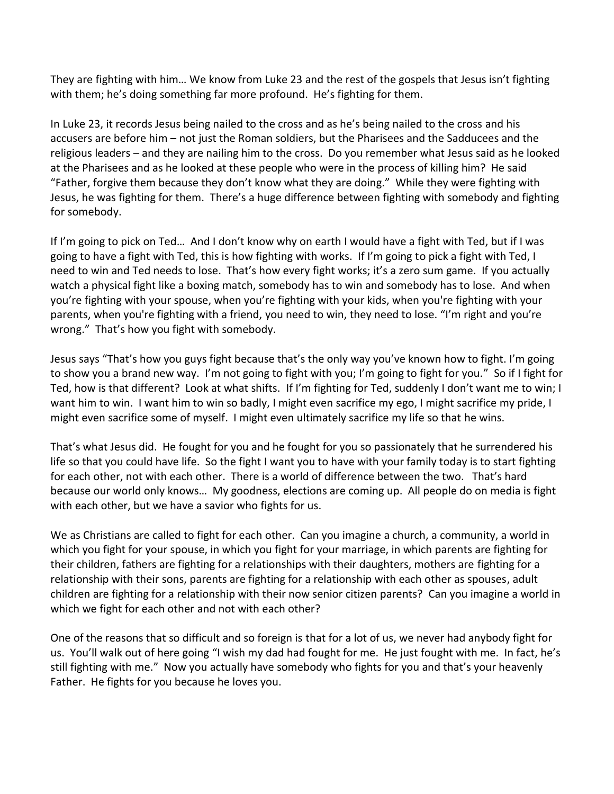They are fighting with him… We know from Luke 23 and the rest of the gospels that Jesus isn't fighting with them; he's doing something far more profound. He's fighting for them.

In Luke 23, it records Jesus being nailed to the cross and as he's being nailed to the cross and his accusers are before him – not just the Roman soldiers, but the Pharisees and the Sadducees and the religious leaders – and they are nailing him to the cross. Do you remember what Jesus said as he looked at the Pharisees and as he looked at these people who were in the process of killing him? He said "Father, forgive them because they don't know what they are doing." While they were fighting with Jesus, he was fighting for them. There's a huge difference between fighting with somebody and fighting for somebody.

If I'm going to pick on Ted… And I don't know why on earth I would have a fight with Ted, but if I was going to have a fight with Ted, this is how fighting with works. If I'm going to pick a fight with Ted, I need to win and Ted needs to lose. That's how every fight works; it's a zero sum game. If you actually watch a physical fight like a boxing match, somebody has to win and somebody has to lose. And when you're fighting with your spouse, when you're fighting with your kids, when you're fighting with your parents, when you're fighting with a friend, you need to win, they need to lose. "I'm right and you're wrong." That's how you fight with somebody.

Jesus says "That's how you guys fight because that's the only way you've known how to fight. I'm going to show you a brand new way. I'm not going to fight with you; I'm going to fight for you." So if I fight for Ted, how is that different? Look at what shifts. If I'm fighting for Ted, suddenly I don't want me to win; I want him to win. I want him to win so badly, I might even sacrifice my ego, I might sacrifice my pride, I might even sacrifice some of myself. I might even ultimately sacrifice my life so that he wins.

That's what Jesus did. He fought for you and he fought for you so passionately that he surrendered his life so that you could have life. So the fight I want you to have with your family today is to start fighting for each other, not with each other. There is a world of difference between the two. That's hard because our world only knows… My goodness, elections are coming up. All people do on media is fight with each other, but we have a savior who fights for us.

We as Christians are called to fight for each other. Can you imagine a church, a community, a world in which you fight for your spouse, in which you fight for your marriage, in which parents are fighting for their children, fathers are fighting for a relationships with their daughters, mothers are fighting for a relationship with their sons, parents are fighting for a relationship with each other as spouses, adult children are fighting for a relationship with their now senior citizen parents? Can you imagine a world in which we fight for each other and not with each other?

One of the reasons that so difficult and so foreign is that for a lot of us, we never had anybody fight for us. You'll walk out of here going "I wish my dad had fought for me. He just fought with me. In fact, he's still fighting with me." Now you actually have somebody who fights for you and that's your heavenly Father. He fights for you because he loves you.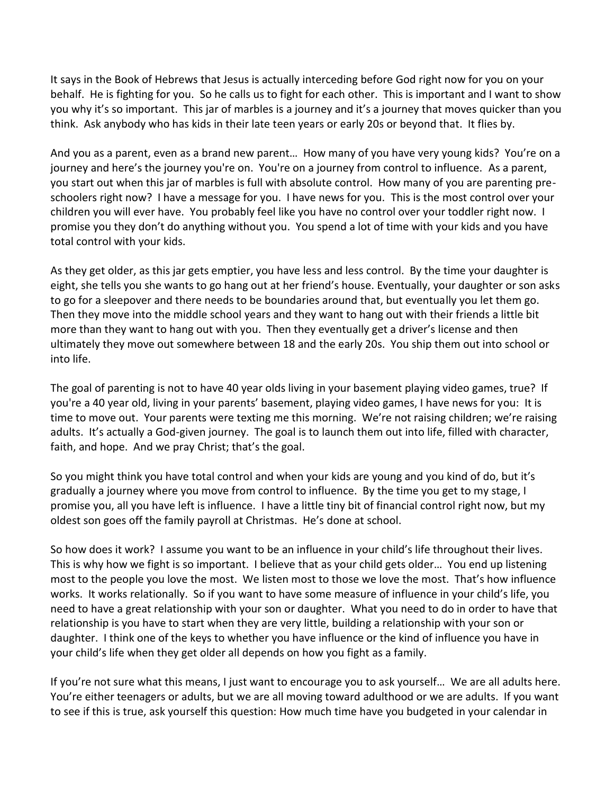It says in the Book of Hebrews that Jesus is actually interceding before God right now for you on your behalf. He is fighting for you. So he calls us to fight for each other. This is important and I want to show you why it's so important. This jar of marbles is a journey and it's a journey that moves quicker than you think. Ask anybody who has kids in their late teen years or early 20s or beyond that. It flies by.

And you as a parent, even as a brand new parent… How many of you have very young kids? You're on a journey and here's the journey you're on. You're on a journey from control to influence. As a parent, you start out when this jar of marbles is full with absolute control. How many of you are parenting preschoolers right now? I have a message for you. I have news for you. This is the most control over your children you will ever have. You probably feel like you have no control over your toddler right now. I promise you they don't do anything without you. You spend a lot of time with your kids and you have total control with your kids.

As they get older, as this jar gets emptier, you have less and less control. By the time your daughter is eight, she tells you she wants to go hang out at her friend's house. Eventually, your daughter or son asks to go for a sleepover and there needs to be boundaries around that, but eventually you let them go. Then they move into the middle school years and they want to hang out with their friends a little bit more than they want to hang out with you. Then they eventually get a driver's license and then ultimately they move out somewhere between 18 and the early 20s. You ship them out into school or into life.

The goal of parenting is not to have 40 year olds living in your basement playing video games, true? If you're a 40 year old, living in your parents' basement, playing video games, I have news for you: It is time to move out. Your parents were texting me this morning. We're not raising children; we're raising adults. It's actually a God-given journey. The goal is to launch them out into life, filled with character, faith, and hope. And we pray Christ; that's the goal.

So you might think you have total control and when your kids are young and you kind of do, but it's gradually a journey where you move from control to influence. By the time you get to my stage, I promise you, all you have left is influence. I have a little tiny bit of financial control right now, but my oldest son goes off the family payroll at Christmas. He's done at school.

So how does it work? I assume you want to be an influence in your child's life throughout their lives. This is why how we fight is so important. I believe that as your child gets older… You end up listening most to the people you love the most. We listen most to those we love the most. That's how influence works. It works relationally. So if you want to have some measure of influence in your child's life, you need to have a great relationship with your son or daughter. What you need to do in order to have that relationship is you have to start when they are very little, building a relationship with your son or daughter. I think one of the keys to whether you have influence or the kind of influence you have in your child's life when they get older all depends on how you fight as a family.

If you're not sure what this means, I just want to encourage you to ask yourself… We are all adults here. You're either teenagers or adults, but we are all moving toward adulthood or we are adults. If you want to see if this is true, ask yourself this question: How much time have you budgeted in your calendar in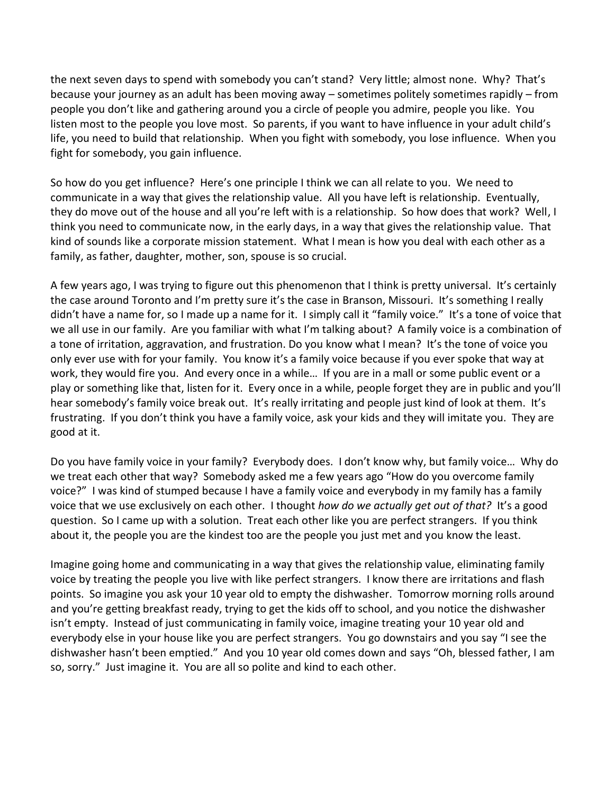the next seven days to spend with somebody you can't stand? Very little; almost none. Why? That's because your journey as an adult has been moving away – sometimes politely sometimes rapidly – from people you don't like and gathering around you a circle of people you admire, people you like. You listen most to the people you love most. So parents, if you want to have influence in your adult child's life, you need to build that relationship. When you fight with somebody, you lose influence. When you fight for somebody, you gain influence.

So how do you get influence? Here's one principle I think we can all relate to you. We need to communicate in a way that gives the relationship value. All you have left is relationship. Eventually, they do move out of the house and all you're left with is a relationship. So how does that work? Well, I think you need to communicate now, in the early days, in a way that gives the relationship value. That kind of sounds like a corporate mission statement. What I mean is how you deal with each other as a family, as father, daughter, mother, son, spouse is so crucial.

A few years ago, I was trying to figure out this phenomenon that I think is pretty universal. It's certainly the case around Toronto and I'm pretty sure it's the case in Branson, Missouri. It's something I really didn't have a name for, so I made up a name for it. I simply call it "family voice." It's a tone of voice that we all use in our family. Are you familiar with what I'm talking about? A family voice is a combination of a tone of irritation, aggravation, and frustration. Do you know what I mean? It's the tone of voice you only ever use with for your family. You know it's a family voice because if you ever spoke that way at work, they would fire you. And every once in a while… If you are in a mall or some public event or a play or something like that, listen for it. Every once in a while, people forget they are in public and you'll hear somebody's family voice break out. It's really irritating and people just kind of look at them. It's frustrating. If you don't think you have a family voice, ask your kids and they will imitate you. They are good at it.

Do you have family voice in your family? Everybody does. I don't know why, but family voice… Why do we treat each other that way? Somebody asked me a few years ago "How do you overcome family voice?" I was kind of stumped because I have a family voice and everybody in my family has a family voice that we use exclusively on each other. I thought *how do we actually get out of that?* It's a good question. So I came up with a solution. Treat each other like you are perfect strangers. If you think about it, the people you are the kindest too are the people you just met and you know the least.

Imagine going home and communicating in a way that gives the relationship value, eliminating family voice by treating the people you live with like perfect strangers. I know there are irritations and flash points. So imagine you ask your 10 year old to empty the dishwasher. Tomorrow morning rolls around and you're getting breakfast ready, trying to get the kids off to school, and you notice the dishwasher isn't empty. Instead of just communicating in family voice, imagine treating your 10 year old and everybody else in your house like you are perfect strangers. You go downstairs and you say "I see the dishwasher hasn't been emptied." And you 10 year old comes down and says "Oh, blessed father, I am so, sorry." Just imagine it. You are all so polite and kind to each other.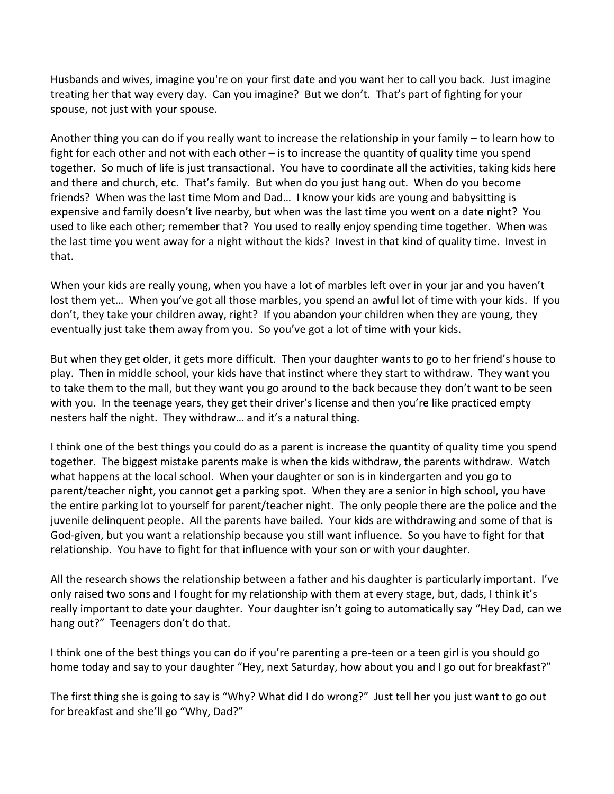Husbands and wives, imagine you're on your first date and you want her to call you back. Just imagine treating her that way every day. Can you imagine? But we don't. That's part of fighting for your spouse, not just with your spouse.

Another thing you can do if you really want to increase the relationship in your family – to learn how to fight for each other and not with each other – is to increase the quantity of quality time you spend together. So much of life is just transactional. You have to coordinate all the activities, taking kids here and there and church, etc. That's family. But when do you just hang out. When do you become friends? When was the last time Mom and Dad… I know your kids are young and babysitting is expensive and family doesn't live nearby, but when was the last time you went on a date night? You used to like each other; remember that? You used to really enjoy spending time together. When was the last time you went away for a night without the kids? Invest in that kind of quality time. Invest in that.

When your kids are really young, when you have a lot of marbles left over in your jar and you haven't lost them yet… When you've got all those marbles, you spend an awful lot of time with your kids. If you don't, they take your children away, right? If you abandon your children when they are young, they eventually just take them away from you. So you've got a lot of time with your kids.

But when they get older, it gets more difficult. Then your daughter wants to go to her friend's house to play. Then in middle school, your kids have that instinct where they start to withdraw. They want you to take them to the mall, but they want you go around to the back because they don't want to be seen with you. In the teenage years, they get their driver's license and then you're like practiced empty nesters half the night. They withdraw… and it's a natural thing.

I think one of the best things you could do as a parent is increase the quantity of quality time you spend together. The biggest mistake parents make is when the kids withdraw, the parents withdraw. Watch what happens at the local school. When your daughter or son is in kindergarten and you go to parent/teacher night, you cannot get a parking spot. When they are a senior in high school, you have the entire parking lot to yourself for parent/teacher night. The only people there are the police and the juvenile delinquent people. All the parents have bailed. Your kids are withdrawing and some of that is God-given, but you want a relationship because you still want influence. So you have to fight for that relationship. You have to fight for that influence with your son or with your daughter.

All the research shows the relationship between a father and his daughter is particularly important. I've only raised two sons and I fought for my relationship with them at every stage, but, dads, I think it's really important to date your daughter. Your daughter isn't going to automatically say "Hey Dad, can we hang out?" Teenagers don't do that.

I think one of the best things you can do if you're parenting a pre-teen or a teen girl is you should go home today and say to your daughter "Hey, next Saturday, how about you and I go out for breakfast?"

The first thing she is going to say is "Why? What did I do wrong?" Just tell her you just want to go out for breakfast and she'll go "Why, Dad?"